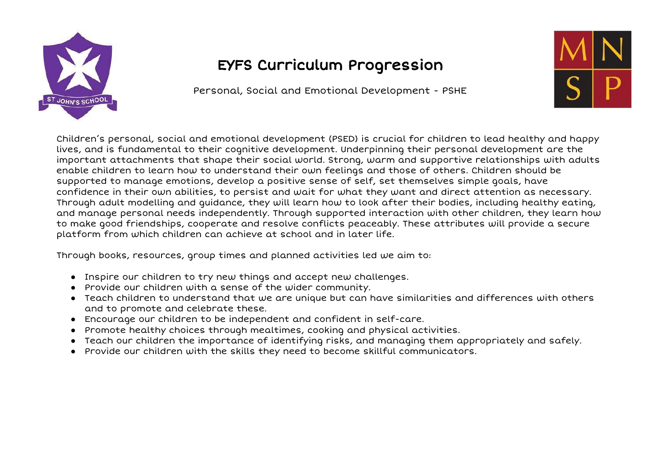

## EYFS Curriculum Progression

Personal, Social and Emotional Development - PSHE



Children's personal, social and emotional development (PSED) is crucial for children to lead healthy and happy lives, and is fundamental to their cognitive development. Underpinning their personal development are the important attachments that shape their social world. Strong, warm and supportive relationships with adults enable children to learn how to understand their own feelings and those of others. Children should be supported to manage emotions, develop a positive sense of self, set themselves simple goals, have confidence in their own abilities, to persist and wait for what they want and direct attention as necessary. Through adult modelling and guidance, they will learn how to look after their bodies, including healthy eating, and manage personal needs independently. Through supported interaction with other children, they learn how to make good friendships, cooperate and resolve conflicts peaceably. These attributes will provide a secure platform from which children can achieve at school and in later life.

Through books, resources, group times and planned activities led we aim to:

- Inspire our children to try new things and accept new challenges.
- Provide our children with a sense of the wider community.
- Teach children to understand that we are unique but can have similarities and differences with others and to promote and celebrate these.
- Encourage our children to be independent and confident in self-care.
- Promote healthy choices through mealtimes, cooking and physical activities.
- Teach our children the importance of identifying risks, and managing them appropriately and safely.
- Provide our children with the skills they need to become skillful communicators.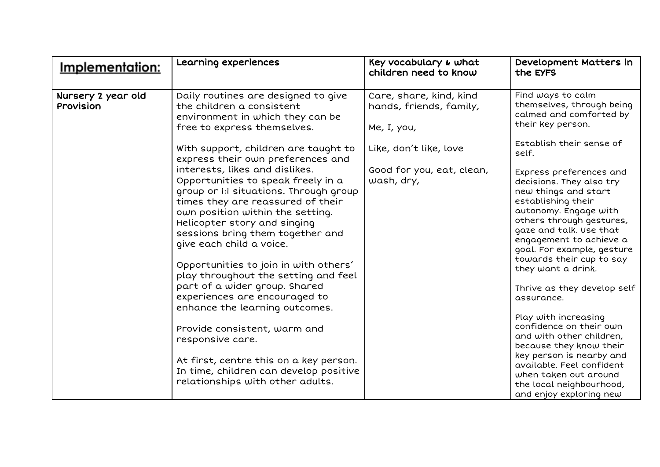| Implementation:                 | Learning experiences                                                                                                                                                                                                                                                                                                                                                                                                                                                                                                                                                                                                                                                                                                                                 | Key vocabulary & what<br>children need to know                                                                                         | Development Matters in<br>the EYFS                                                                                                                                                                                                                                                                                                                                                                                                                                                                                                                                                         |
|---------------------------------|------------------------------------------------------------------------------------------------------------------------------------------------------------------------------------------------------------------------------------------------------------------------------------------------------------------------------------------------------------------------------------------------------------------------------------------------------------------------------------------------------------------------------------------------------------------------------------------------------------------------------------------------------------------------------------------------------------------------------------------------------|----------------------------------------------------------------------------------------------------------------------------------------|--------------------------------------------------------------------------------------------------------------------------------------------------------------------------------------------------------------------------------------------------------------------------------------------------------------------------------------------------------------------------------------------------------------------------------------------------------------------------------------------------------------------------------------------------------------------------------------------|
| Nursery 2 year old<br>Provision | Daily routines are designed to give<br>the children a consistent<br>environment in which they can be<br>free to express themselves.<br>With support, children are taught to<br>express their own preferences and<br>interests, likes and dislikes.<br>Opportunities to speak freely in a<br>group or I:I situations. Through group<br>times they are reassured of their<br>own position within the setting.<br>Helicopter story and singing<br>sessions bring them together and<br>give each child a voice.<br>Opportunities to join in with others'<br>play throughout the setting and feel<br>part of a wider group. Shared<br>experiences are encouraged to<br>enhance the learning outcomes.<br>Provide consistent, warm and<br>responsive care. | Care, share, kind, kind<br>hands, friends, family,<br>Me, I, you,<br>Like, don't like, love<br>Good for you, eat, clean,<br>wash, dry, | Find ways to calm<br>themselves, through being<br>calmed and comforted by<br>their key person.<br>Establish their sense of<br>self.<br>Express preferences and<br>decisions. They also try<br>new things and start<br>establishing their<br>autonomy. Engage with<br>others through gestures,<br>gaze and talk. Use that<br>engagement to achieve a<br>goal. For example, gesture<br>towards their cup to say<br>they want a drink.<br>Thrive as they develop self<br>assurance.<br>Play with increasing<br>confidence on their own<br>and with other children,<br>because they know their |
|                                 | At first, centre this on a key person.<br>In time, children can develop positive<br>relationships with other adults.                                                                                                                                                                                                                                                                                                                                                                                                                                                                                                                                                                                                                                 |                                                                                                                                        | key person is nearby and<br>available. Feel confident<br>when taken out around<br>the local neighbourhood,<br>and enjoy exploring new                                                                                                                                                                                                                                                                                                                                                                                                                                                      |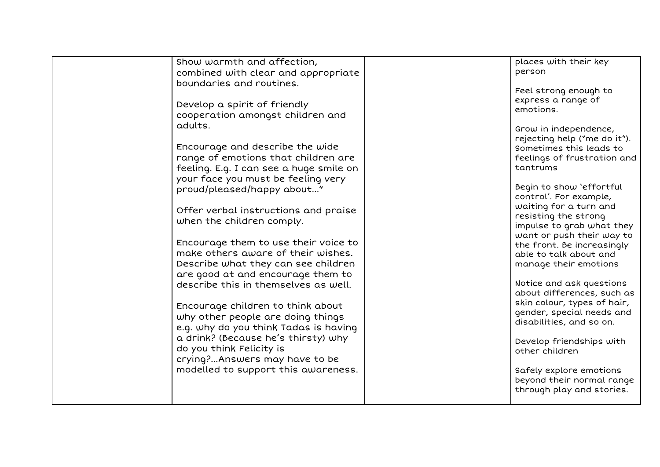| Show warmth and affection,<br>combined with clear and appropriate<br>boundaries and routines.<br>Develop a spirit of friendly<br>cooperation amongst children and<br>adults.<br>Encourage and describe the wide<br>range of emotions that children are<br>feeling. E.g. I can see a huge smile on<br>your face you must be feeling very<br>proud/pleased/happy about"<br>Offer verbal instructions and praise<br>when the children comply.<br>Encourage them to use their voice to<br>make others aware of their wishes.<br>Describe what they can see children<br>are good at and encourage them to<br>describe this in themselves as well.<br>Encourage children to think about<br>why other people are doing things<br>e.g. why do you think Tadas is having<br>a drink? (Because he's thirsty) why<br>do you think Felicity is<br>crying?Answers may have to be<br>modelled to support this awareness. | places with their key<br>person<br>Feel strong enough to<br>express a range of<br>emotions.<br>Grow in independence,<br>rejecting help ("me do it").<br>Sometimes this leads to<br>feelings of frustration and<br>tantrums<br>Begin to show 'effortful<br>control'. For example,<br>waiting for a turn and<br>resisting the strong<br>impulse to grab what they<br>want or push their way to<br>the front. Be increasingly<br>able to talk about and<br>manage their emotions<br>Notice and ask questions<br>about differences, such as<br>skin colour, types of hair,<br>gender, special needs and<br>disabilities, and so on.<br>Develop friendships with<br>other children<br>Safely explore emotions<br>beyond their normal range<br>through play and stories. |
|------------------------------------------------------------------------------------------------------------------------------------------------------------------------------------------------------------------------------------------------------------------------------------------------------------------------------------------------------------------------------------------------------------------------------------------------------------------------------------------------------------------------------------------------------------------------------------------------------------------------------------------------------------------------------------------------------------------------------------------------------------------------------------------------------------------------------------------------------------------------------------------------------------|--------------------------------------------------------------------------------------------------------------------------------------------------------------------------------------------------------------------------------------------------------------------------------------------------------------------------------------------------------------------------------------------------------------------------------------------------------------------------------------------------------------------------------------------------------------------------------------------------------------------------------------------------------------------------------------------------------------------------------------------------------------------|
|------------------------------------------------------------------------------------------------------------------------------------------------------------------------------------------------------------------------------------------------------------------------------------------------------------------------------------------------------------------------------------------------------------------------------------------------------------------------------------------------------------------------------------------------------------------------------------------------------------------------------------------------------------------------------------------------------------------------------------------------------------------------------------------------------------------------------------------------------------------------------------------------------------|--------------------------------------------------------------------------------------------------------------------------------------------------------------------------------------------------------------------------------------------------------------------------------------------------------------------------------------------------------------------------------------------------------------------------------------------------------------------------------------------------------------------------------------------------------------------------------------------------------------------------------------------------------------------------------------------------------------------------------------------------------------------|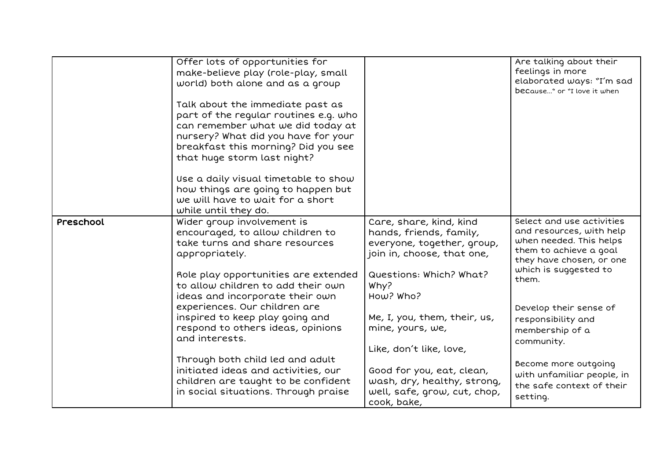|           | Offer lots of opportunities for<br>make-believe play (role-play, small<br>world) both alone and as a group<br>Talk about the immediate past as<br>part of the regular routines e.g. who<br>can remember what we did today at<br>nursery? What did you have for your<br>breakfast this morning? Did you see<br>that huge storm last night?<br>Use a daily visual timetable to show<br>how things are going to happen but<br>we will have to wait for a short<br>while until they do. |                                                                                                                                                                                                                                               | Are talking about their<br>feelings in more<br>elaborated ways: "I'm sad<br>because" or "I love it when                                                                                                                                                                           |
|-----------|-------------------------------------------------------------------------------------------------------------------------------------------------------------------------------------------------------------------------------------------------------------------------------------------------------------------------------------------------------------------------------------------------------------------------------------------------------------------------------------|-----------------------------------------------------------------------------------------------------------------------------------------------------------------------------------------------------------------------------------------------|-----------------------------------------------------------------------------------------------------------------------------------------------------------------------------------------------------------------------------------------------------------------------------------|
| Preschool | Wider group involvement is<br>encouraged, to allow children to<br>take turns and share resources<br>appropriately.<br>Role play opportunities are extended<br>to allow children to add their own<br>ideas and incorporate their own<br>experiences. Our children are<br>inspired to keep play going and<br>respond to others ideas, opinions<br>and interests.<br>Through both child led and adult                                                                                  | Care, share, kind, kind<br>hands, friends, family,<br>everyone, together, group,<br>join in, choose, that one,<br>Questions: Which? What?<br>Why?<br>How? Who?<br>Me, I, you, them, their, us,<br>mine, yours, we,<br>Like, don't like, love, | Select and use activities<br>and resources, with help<br>when needed. This helps<br>them to achieve a goal<br>they have chosen, or one<br>which is suggested to<br>them.<br>Develop their sense of<br>responsibility and<br>membership of a<br>community.<br>Become more outgoing |
|           | initiated ideas and activities, our<br>children are taught to be confident<br>in social situations. Through praise                                                                                                                                                                                                                                                                                                                                                                  | Good for you, eat, clean,<br>wash, dry, healthy, strong,<br>well, safe, grow, cut, chop,<br>cook, bake,                                                                                                                                       | with unfamiliar people, in<br>the safe context of their<br>setting.                                                                                                                                                                                                               |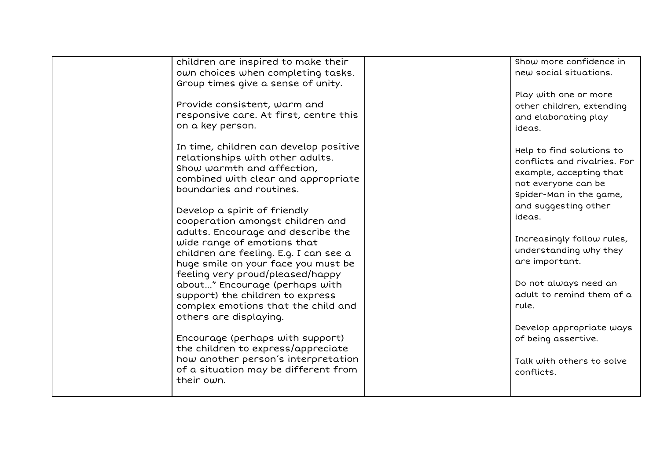| children are inspired to make their<br>own choices when completing tasks.<br>Group times give a sense of unity.<br>Provide consistent, warm and<br>responsive care. At first, centre this<br>on a key person.                                                                                                                                                                                                                                                                                                                                                                                                                                                                                                                                           | Show more confidence in<br>new social situations.<br>Play with one or more<br>other children, extending<br>and elaborating play<br>ideas.                                                                                                                                                                                                                                                                       |
|---------------------------------------------------------------------------------------------------------------------------------------------------------------------------------------------------------------------------------------------------------------------------------------------------------------------------------------------------------------------------------------------------------------------------------------------------------------------------------------------------------------------------------------------------------------------------------------------------------------------------------------------------------------------------------------------------------------------------------------------------------|-----------------------------------------------------------------------------------------------------------------------------------------------------------------------------------------------------------------------------------------------------------------------------------------------------------------------------------------------------------------------------------------------------------------|
| In time, children can develop positive<br>relationships with other adults.<br>Show warmth and affection,<br>combined with clear and appropriate<br>boundaries and routines.<br>Develop a spirit of friendly<br>cooperation amongst children and<br>adults. Encourage and describe the<br>wide range of emotions that<br>children are feeling. E.g. I can see a<br>huge smile on your face you must be<br>feeling very proud/pleased/happy<br>about" Encourage (perhaps with<br>support) the children to express<br>complex emotions that the child and<br>others are displaying.<br>Encourage (perhaps with support)<br>the children to express/appreciate<br>how another person's interpretation<br>of a situation may be different from<br>their own. | Help to find solutions to<br>conflicts and rivalries. For<br>example, accepting that<br>not everyone can be<br>Spider-Man in the game,<br>and suggesting other<br>ideas.<br>Increasingly follow rules,<br>understanding why they<br>are important.<br>Do not always need an<br>adult to remind them of a<br>rule.<br>Develop appropriate ways<br>of being assertive.<br>Talk with others to solve<br>conflicts. |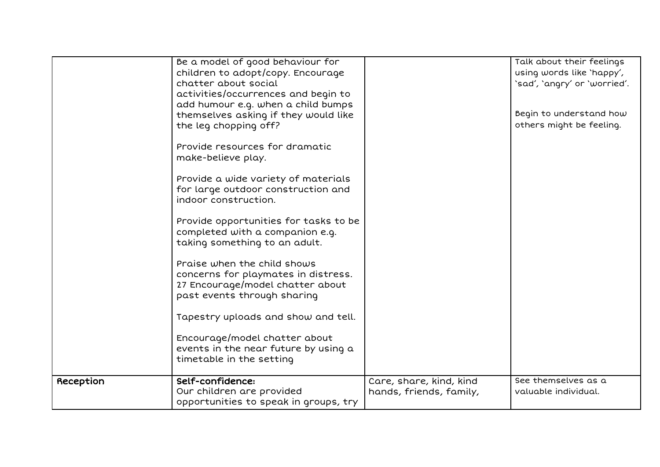|           | Be a model of good behaviour for<br>children to adopt/copy. Encourage<br>chatter about social<br>activities/occurrences and begin to<br>add humour e.g. when a child bumps<br>themselves asking if they would like<br>the leg chopping off?<br>Provide resources for dramatic<br>make-believe play.<br>Provide a wide variety of materials<br>for large outdoor construction and<br>indoor construction.<br>Provide opportunities for tasks to be<br>completed with a companion e.g.<br>taking something to an adult.<br>Praise when the child shows<br>concerns for playmates in distress.<br>27 Encourage/model chatter about<br>past events through sharing<br>Tapestry uploads and show and tell.<br>Encourage/model chatter about<br>events in the near future by using a |                                                    | Talk about their feelings<br>using words like 'happy',<br>'sad', 'angry' or 'worried'.<br>Begin to understand how<br>others might be feeling. |
|-----------|--------------------------------------------------------------------------------------------------------------------------------------------------------------------------------------------------------------------------------------------------------------------------------------------------------------------------------------------------------------------------------------------------------------------------------------------------------------------------------------------------------------------------------------------------------------------------------------------------------------------------------------------------------------------------------------------------------------------------------------------------------------------------------|----------------------------------------------------|-----------------------------------------------------------------------------------------------------------------------------------------------|
| Reception | Self-confidence:<br>Our children are provided<br>opportunities to speak in groups, try                                                                                                                                                                                                                                                                                                                                                                                                                                                                                                                                                                                                                                                                                         | Care, share, kind, kind<br>hands, friends, family, | See themselves as a<br>valuable individual.                                                                                                   |
|           | timetable in the setting                                                                                                                                                                                                                                                                                                                                                                                                                                                                                                                                                                                                                                                                                                                                                       |                                                    |                                                                                                                                               |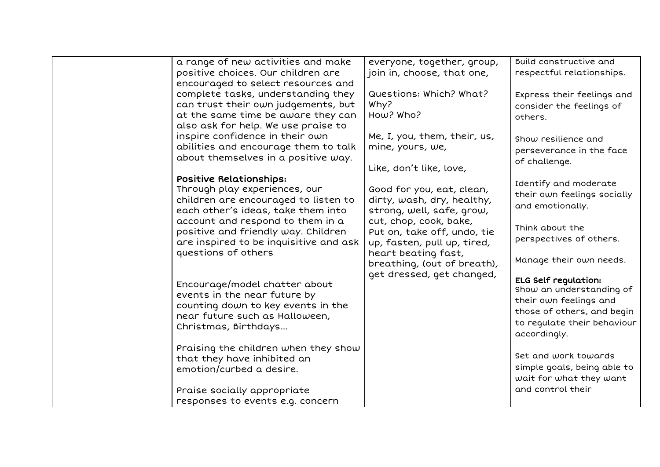| a range of new activities and make     | everyone, together, group,   | Build constructive and      |
|----------------------------------------|------------------------------|-----------------------------|
| positive choices. Our children are     | join in, choose, that one,   | respectful relationships.   |
| encouraged to select resources and     |                              |                             |
| complete tasks, understanding they     | Questions: Which? What?      | Express their feelings and  |
| can trust their own judgements, but    | Why?                         | consider the feelings of    |
| at the same time be aware they can     | How? Who?                    | others.                     |
| also ask for help. We use praise to    |                              |                             |
| inspire confidence in their own        | Me, I, you, them, their, us, | Show resilience and         |
| abilities and encourage them to talk   | mine, yours, we,             | perseverance in the face    |
| about themselves in a positive way.    |                              |                             |
|                                        | Like, don't like, love,      | of challenge.               |
| Positive Relationships:                |                              |                             |
| Through play experiences, our          | Good for you, eat, clean,    | Identify and moderate       |
| children are encouraged to listen to   | dirty, wash, dry, healthy,   | their own feelings socially |
| each other's ideas, take them into     | strong, well, safe, grow,    | and emotionally.            |
| account and respond to them in a       | cut, chop, cook, bake,       |                             |
| positive and friendly way. Children    | Put on, take off, undo, tie  | Think about the             |
| are inspired to be inquisitive and ask | up, fasten, pull up, tired,  | perspectives of others.     |
| questions of others                    | heart beating fast,          |                             |
|                                        | breathing, (out of breath),  | Manage their own needs.     |
|                                        | get dressed, get changed,    |                             |
| Encourage/model chatter about          |                              | <b>ELG Self regulation:</b> |
| events in the near future by           |                              | Show an understanding of    |
|                                        |                              | their own feelings and      |
| counting down to key events in the     |                              | those of others, and begin  |
| near future such as Halloween,         |                              | to regulate their behaviour |
| Christmas, Birthdays                   |                              | accordingly.                |
|                                        |                              |                             |
| Praising the children when they show   |                              | Set and work towards        |
| that they have inhibited an            |                              | simple goals, being able to |
| emotion/curbed a desire.               |                              |                             |
|                                        |                              | wait for what they want     |
| Praise socially appropriate            |                              | and control their           |
| responses to events e.g. concern       |                              |                             |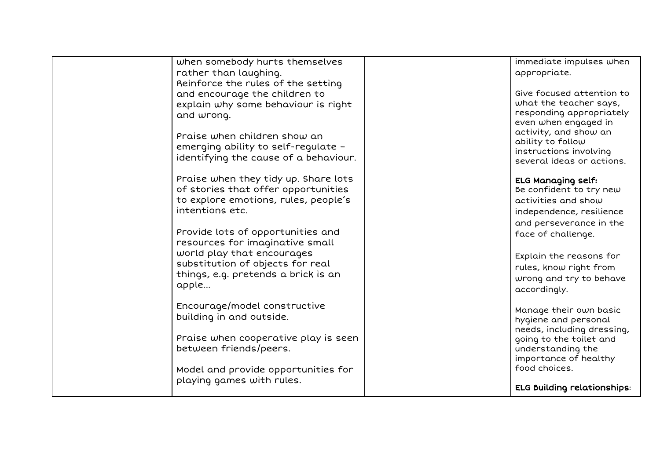| when somebody hurts themselves        | immediate impulses when                    |
|---------------------------------------|--------------------------------------------|
| rather than laughing.                 | appropriate.                               |
| Reinforce the rules of the setting    |                                            |
| and encourage the children to         | Give focused attention to                  |
| explain why some behaviour is right   | what the teacher says,                     |
| and wrong.                            | responding appropriately                   |
|                                       | even when engaged in                       |
| Praise when children show an          | activity, and show an                      |
| emerging ability to self-regulate -   | ability to follow                          |
| identifying the cause of a behaviour. | instructions involving                     |
|                                       | several ideas or actions.                  |
| Praise when they tidy up. Share lots  | <b>ELG Managing self:</b>                  |
| of stories that offer opportunities   | Be confident to try new                    |
| to explore emotions, rules, people's  | activities and show                        |
| intentions etc.                       | independence, resilience                   |
|                                       | and perseverance in the                    |
| Provide lots of opportunities and     | face of challenge.                         |
| resources for imaginative small       |                                            |
| world play that encourages            |                                            |
| substitution of objects for real      | Explain the reasons for                    |
| things, e.g. pretends a brick is an   | rules, know right from                     |
| apple                                 | wrong and try to behave                    |
|                                       | accordingly.                               |
| Encourage/model constructive          |                                            |
| building in and outside.              | Manage their own basic                     |
|                                       | hygiene and personal                       |
|                                       | needs, including dressing,                 |
| Praise when cooperative play is seen  | going to the toilet and                    |
| between friends/peers.                | understanding the<br>importance of healthy |
|                                       | food choices.                              |
| Model and provide opportunities for   |                                            |
| playing games with rules.             | <b>ELG Building relationships:</b>         |
|                                       |                                            |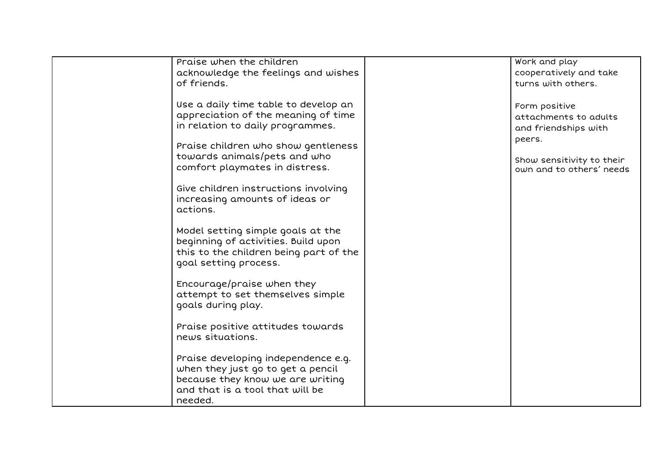| Praise when the children               | Work and play             |
|----------------------------------------|---------------------------|
| acknowledge the feelings and wishes    | cooperatively and take    |
| of friends.                            | turns with others.        |
|                                        |                           |
| Use a daily time table to develop an   |                           |
|                                        | Form positive             |
| appreciation of the meaning of time    | attachments to adults     |
| in relation to daily programmes.       | and friendships with      |
|                                        | peers.                    |
| Praise children who show gentleness    |                           |
| towards animals/pets and who           | Show sensitivity to their |
| comfort playmates in distress.         | own and to others' needs  |
|                                        |                           |
| Give children instructions involving   |                           |
|                                        |                           |
| increasing amounts of ideas or         |                           |
| actions.                               |                           |
|                                        |                           |
| Model setting simple goals at the      |                           |
| beginning of activities. Build upon    |                           |
| this to the children being part of the |                           |
| goal setting process.                  |                           |
|                                        |                           |
|                                        |                           |
| Encourage/praise when they             |                           |
| attempt to set themselves simple       |                           |
| goals during play.                     |                           |
|                                        |                           |
| Praise positive attitudes towards      |                           |
| news situations.                       |                           |
|                                        |                           |
|                                        |                           |
| Praise developing independence e.g.    |                           |
| when they just go to get a pencil      |                           |
| because they know we are writing       |                           |
| and that is a tool that will be        |                           |
| needed.                                |                           |